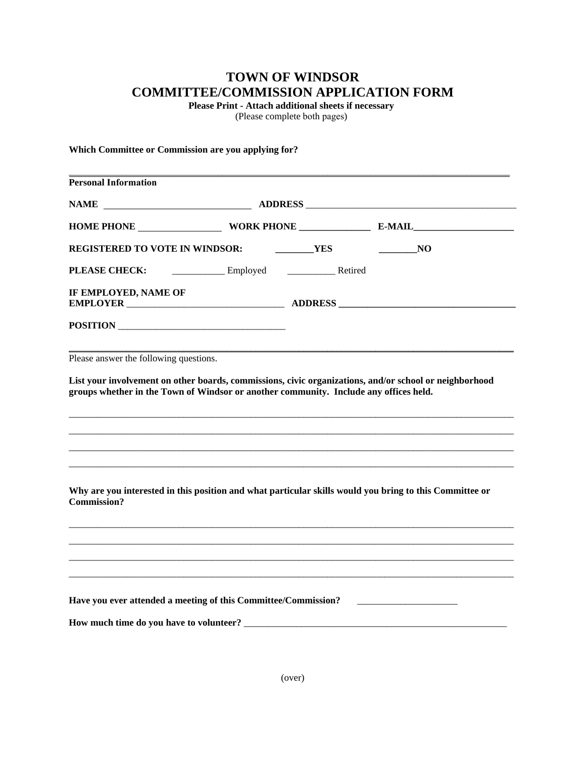## **TOWN OF WINDSOR COMMITTEE/COMMISSION APPLICATION FORM**

**Please Print - Attach additional sheets if necessary** 

(Please complete both pages)

## **Which Committee or Commission are you applying for?**

| <b>Personal Information</b>                                                                                                                      |  |  |    |
|--------------------------------------------------------------------------------------------------------------------------------------------------|--|--|----|
|                                                                                                                                                  |  |  |    |
|                                                                                                                                                  |  |  |    |
| REGISTERED TO VOTE IN WINDSOR: VES                                                                                                               |  |  | NO |
| PLEASE CHECK: Employed Employed Retired                                                                                                          |  |  |    |
| IF EMPLOYED, NAME OF                                                                                                                             |  |  |    |
| POSITION                                                                                                                                         |  |  |    |
| Please answer the following questions.<br>List your involvement on other boards, commissions, civic organizations, and/or school or neighborhood |  |  |    |
| groups whether in the Town of Windsor or another community. Include any offices held.                                                            |  |  |    |
| Why are you interested in this position and what particular skills would you bring to this Committee or<br><b>Commission?</b>                    |  |  |    |
|                                                                                                                                                  |  |  |    |
|                                                                                                                                                  |  |  |    |
|                                                                                                                                                  |  |  |    |